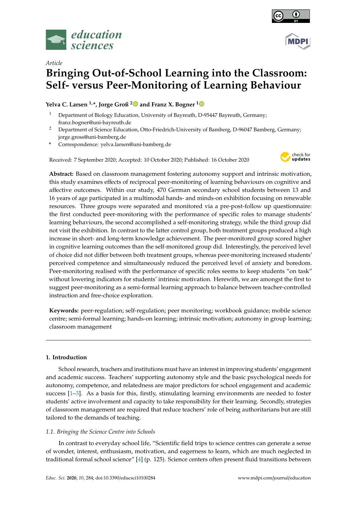

*Article*



# **Bringing Out-of-School Learning into the Classroom: Self- versus Peer-Monitoring of Learning Behaviour**

# **Yelva C. Larsen 1,\*, Jorge Groß [2](https://orcid.org/0000-0002-3525-9448) and Franz X. Bogner [1](https://orcid.org/0000-0002-6319-7942)**

- <sup>1</sup> Department of Biology Education, University of Bayreuth, D-95447 Bayreuth, Germany; franz.bogner@uni-bayreuth.de
- <sup>2</sup> Department of Science Education, Otto-Friedrich-University of Bamberg, D-96047 Bamberg, Germany; jorge.gross@uni-bamberg.de
- **\*** Correspondence: yelva.larsen@uni-bamberg.de

Received: 7 September 2020; Accepted: 10 October 2020; Published: 16 October 2020



**Abstract:** Based on classroom management fostering autonomy support and intrinsic motivation, this study examines effects of reciprocal peer-monitoring of learning behaviours on cognitive and affective outcomes. Within our study, 470 German secondary school students between 13 and 16 years of age participated in a multimodal hands- and minds-on exhibition focusing on renewable resources. Three groups were separated and monitored via a pre-post-follow up questionnaire: the first conducted peer-monitoring with the performance of specific roles to manage students' learning behaviours, the second accomplished a self-monitoring strategy, while the third group did not visit the exhibition. In contrast to the latter control group, both treatment groups produced a high increase in short- and long-term knowledge achievement. The peer-monitored group scored higher in cognitive learning outcomes than the self-monitored group did. Interestingly, the perceived level of choice did not differ between both treatment groups, whereas peer-monitoring increased students' perceived competence and simultaneously reduced the perceived level of anxiety and boredom. Peer-monitoring realised with the performance of specific roles seems to keep students "on task" without lowering indicators for students' intrinsic motivation. Herewith, we are amongst the first to suggest peer-monitoring as a semi-formal learning approach to balance between teacher-controlled instruction and free-choice exploration.

**Keywords:** peer-regulation; self-regulation; peer monitoring; workbook guidance; mobile science centre; semi-formal learning; hands-on learning; intrinsic motivation; autonomy in group learning; classroom management

# **1. Introduction**

School research, teachers and institutions must have an interest in improving students' engagement and academic success. Teachers' supporting autonomy style and the basic psychological needs for autonomy, competence, and relatedness are major predictors for school engagement and academic success [\[1](#page-13-0)[–3\]](#page-13-1). As a basis for this, firstly, stimulating learning environments are needed to foster students' active involvement and capacity to take responsibility for their learning. Secondly, strategies of classroom management are required that reduce teachers' role of being authoritarians but are still tailored to the demands of teaching.

# *1.1. Bringing the Science Centre into Schools*

In contrast to everyday school life, "Scientific field trips to science centres can generate a sense of wonder, interest, enthusiasm, motivation, and eagerness to learn, which are much neglected in traditional formal school science" [\[4\]](#page-13-2) (p. 125). Science centers often present fluid transitions between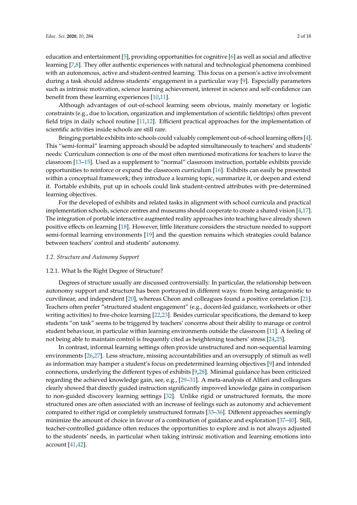education and entertainment [\[5\]](#page-13-3), providing opportunities for cognitive [\[6\]](#page-13-4) as well as social and affective learning [\[7,](#page-13-5)[8\]](#page-13-6). They offer authentic experiences with natural and technological phenomena combined with an autonomous, active and student-centred learning. This focus on a person's active involvement during a task should address students' engagement in a particular way [\[9\]](#page-13-7). Especially parameters such as intrinsic motivation, science learning achievement, interest in science and self-confidence can benefit from these learning experiences [\[10,](#page-13-8)[11\]](#page-13-9).

Although advantages of out-of-school learning seem obvious, mainly monetary or logistic constraints (e.g., due to location, organization and implementation of scientific fieldtrips) often prevent field trips in daily school routine [\[11,](#page-13-9)[12\]](#page-13-10). Efficient practical approaches for the implementation of scientific activities inside schools are still rare.

Bringing portable exhibits into schools could valuably complement out-of-school learning offers [\[4\]](#page-13-2). This "semi-formal" learning approach should be adapted simultaneously to teachers' and students' needs: Curriculum connection is one of the most often mentioned motivations for teachers to leave the classroom [\[13–](#page-13-11)[15\]](#page-13-12). Used as a supplement to "normal" classroom instruction, portable exhibits provide opportunities to reinforce or expand the classroom curriculum [\[16\]](#page-13-13). Exhibits can easily be presented within a conceptual framework; they introduce a learning topic, summarize it, or deepen and extend it. Portable exhibits, put up in schools could link student-centred attributes with pre-determined learning objectives.

For the developed of exhibits and related tasks in alignment with school curricula and practical implementation schools, science centres and museums should cooperate to create a shared vision [\[4](#page-13-2)[,17\]](#page-13-14). The integration of portable interactive augmented reality approaches into teaching have already shown positive effects on learning [\[18\]](#page-13-15). However, little literature considers the structure needed to support semi-formal learning environments [\[19\]](#page-13-16) and the question remains which strategies could balance between teachers' control and students' autonomy.

### *1.2. Structure and Autonomy Support*

# 1.2.1. What Is the Right Degree of Structure?

Degrees of structure usually are discussed controversially. In particular, the relationship between autonomy support and structure has been portrayed in different ways: from being antagonistic to curvilinear, and independent [\[20\]](#page-13-17), whereas Cheon and colleagues found a positive correlation [\[21\]](#page-13-18). Teachers often prefer "structured student engagement" (e.g., docent-led guidance, worksheets or other writing activities) to free-choice learning [\[22](#page-13-19)[,23\]](#page-14-0). Besides curricular specifications, the demand to keep students "on task" seems to be triggered by teachers' concerns about their ability to manage or control student behaviour, in particular within learning environments outside the classroom [\[11\]](#page-13-9). A feeling of not being able to maintain control is frequently cited as heightening teachers' stress [\[24,](#page-14-1)[25\]](#page-14-2).

In contrast, informal learning settings often provide unstructured and non-sequential learning environments [\[26,](#page-14-3)[27\]](#page-14-4). Less structure, missing accountabilities and an oversupply of stimuli as well as information may hamper a student's focus on predetermined learning objectives [\[9\]](#page-13-7) and intended connections, underlying the different types of exhibits [\[9,](#page-13-7)[28\]](#page-14-5). Minimal guidance has been criticized regarding the achieved knowledge gain, see, e.g., [\[29](#page-14-6)[–31\]](#page-14-7). A meta-analysis of Alfieri and colleagues clearly showed that directly guided instruction significantly improved knowledge gains in comparison to non-guided discovery learning settings [\[32\]](#page-14-8). Unlike rigid or unstructured formats, the more structured ones are often associated with an increase of feelings such as autonomy and achievement compared to either rigid or completely unstructured formats [\[33–](#page-14-9)[36\]](#page-14-10). Different approaches seemingly minimize the amount of choice in favour of a combination of guidance and exploration [\[37–](#page-14-11)[40\]](#page-14-12). Still, teacher-controlled guidance often reduces the opportunities to explore and is not always adjusted to the students' needs, in particular when taking intrinsic motivation and learning emotions into account [\[41,](#page-14-13)[42\]](#page-14-14).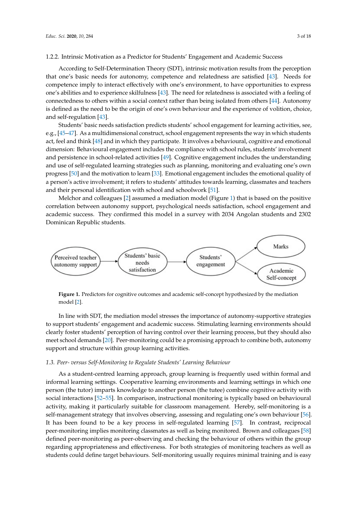# 1.2.2. Intrinsic Motivation as a Predictor for Students' Engagement and Academic Success

According to Self-Determination Theory (SDT), intrinsic motivation results from the perception that one's basic needs for autonomy, competence and relatedness are satisfied [\[43\]](#page-14-15). Needs for competence imply to interact effectively with one's environment, to have opportunities to express one's abilities and to experience skilfulness [\[43\]](#page-14-15). The need for relatedness is associated with a feeling of connectedness to others within a social context rather than being isolated from others [\[44\]](#page-14-16). Autonomy is defined as the need to be the origin of one's own behaviour and the experience of volition, choice, and self-regulation [\[43\]](#page-14-15).

Students' basic needs satisfaction predicts students' school engagement for learning activities, see, e.g., [\[45](#page-14-17)-47]. As a multidimensional construct, school engagement represents the way in which students act, feel and think [\[48\]](#page-14-19) and in which they participate. It involves a behavioural, cognitive and emotional dimension: Behavioural engagement includes the compliance with school rules, students' involvement and persistence in school-related activities [\[49\]](#page-14-20). Cognitive engagement includes the understanding and use of self-regulated learning strategies such as planning, monitoring and evaluating one's own progress [\[50\]](#page-15-0) and the motivation to learn [\[33\]](#page-14-9). Emotional engagement includes the emotional quality of a person's active involvement; it refers to students' attitudes towards learning, classmates and teachers and their personal identification with school and schoolwork [\[51\]](#page-15-1).

Melchor and colleagues [\[2\]](#page-13-20) assumed a mediation model (Figure [1\)](#page-2-0) that is based on the positive Melchor and colleagues [2] assumed a mediation model (Figure 1) that is based on the positive correlation between autonomy support, psychological needs satisfaction, school engagement and correlation between autonomy support, psychological needs satisfaction, school engagement and academic success. They confirmed this model in a survey with 2034 Angolan students and 2302 academic success. They confirmed this model in a survey with 2034 Angolan students and 2302 Dominican Republic students. Dominican Republic students.

<span id="page-2-0"></span>

**Figure 1.** Predictors for cognitive outcomes and academic self-concept hypothesized by the mediation **Figure** 1.1 model [2]. model [\[2\]](#page-13-20).

to support students' engagement and academic success. Stimulating learning environments should clearly foster students' perception of having control over their learning process, but they should also meet school demands [\[20\]](#page-13-17). Peer-monitoring could be a promising approach to combine both, autonomy  $\begin{bmatrix} 2 & 1 \\ 2 & 3 \end{bmatrix}$  support and structure within group learning activities. combine both, autonomy support and structure with group learning activities. The structure with group learning activities. The structure with group learning activities of the structure with group learning activities. The s In line with SDT, the mediation model stresses the importance of autonomy-supportive strategies

### *1.3. Peer- versus Self-Monitoring to Regulate Students' Learning Behaviour*

*1.3. Peer- Versus Self-Monitoring to Regulate Students' Learning Behaviour*  informal learning settings. Cooperative learning environments and learning settings in which one person (the tutor) imparts knowledge to another person (the tutee) combine cognitive activity with social interactions [\[52](#page-15-2)[–55\]](#page-15-3). In comparison, instructional monitoring is typically based on behavioural activity, making it particularly suitable for classroom management. Hereby, self-monitoring is a self-management strategy that involves observing, assessing and regulating one's own behaviour [\[56\]](#page-15-4). It has been found to be a key process in self-regulated learning [\[57\]](#page-15-5). In contrast, reciprocal peer-monitoring implies monitoring classmates as well as being monitored. Brown and colleagues [\[58\]](#page-15-6) defined peer-monitoring as peer-observing and checking the behaviour of others within the group regarding appropriateness and effectiveness. For both strategies of monitoring teachers as well as students could define target behaviours. Self-monitoring usually requires minimal training and is easy As a student-centred learning approach, group learning is frequently used within formal and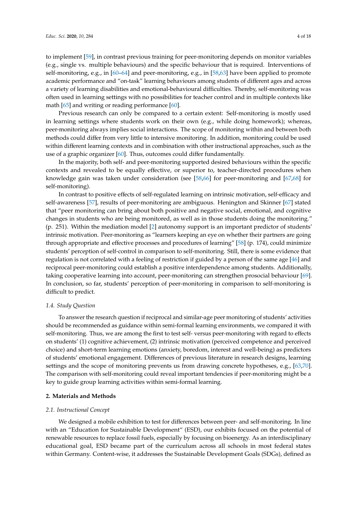to implement [\[59\]](#page-15-7), in contrast previous training for peer-monitoring depends on monitor variables (e.g., single vs. multiple behaviours) and the specific behaviour that is required. Interventions of self-monitoring, e.g., in [\[60–](#page-15-8)[64\]](#page-15-9) and peer-monitoring, e.g., in [\[58](#page-15-6)[,63\]](#page-15-10) have been applied to promote academic performance and "on-task" learning behaviours among students of different ages and across a variety of learning disabilities and emotional-behavioural difficulties. Thereby, self-monitoring was often used in learning settings with no possibilities for teacher control and in multiple contexts like math [\[65\]](#page-15-11) and writing or reading performance [\[60\]](#page-15-8).

Previous research can only be compared to a certain extent: Self-monitoring is mostly used in learning settings where students work on their own (e.g., while doing homework); whereas, peer-monitoring always implies social interactions. The scope of monitoring within and between both methods could differ from very little to intensive monitoring. In addition, monitoring could be used within different learning contexts and in combination with other instructional approaches, such as the use of a graphic organizer [\[60\]](#page-15-8). Thus, outcomes could differ fundamentally.

In the majority, both self- and peer-monitoring supported desired behaviours within the specific contexts and revealed to be equally effective, or superior to, teacher-directed procedures when knowledge gain was taken under consideration (see [\[58,](#page-15-6)[66\]](#page-15-12) for peer-monitoring and [\[67,](#page-15-13)[68\]](#page-15-14) for self-monitoring).

In contrast to positive effects of self-regulated learning on intrinsic motivation, self-efficacy and self-awareness [\[57\]](#page-15-5), results of peer-monitoring are ambiguous. Henington and Skinner [\[67\]](#page-15-13) stated that "peer monitoring can bring about both positive and negative social, emotional, and cognitive changes in students who are being monitored, as well as in those students doing the monitoring." (p. 251). Within the mediation model [\[2\]](#page-13-20) autonomy support is an important predictor of students' intrinsic motivation. Peer-monitoring as "learners keeping an eye on whether their partners are going through appropriate and effective processes and procedures of learning" [\[58\]](#page-15-6) (p. 174), could minimize students' perception of self-control in comparison to self-monitoring. Still, there is some evidence that regulation is not correlated with a feeling of restriction if guided by a person of the same age [\[46\]](#page-14-21) and reciprocal peer-monitoring could establish a positive interdependence among students. Additionally, taking cooperative learning into account, peer-monitoring can strengthen prosocial behaviour [\[69\]](#page-15-15). In conclusion, so far, students' perception of peer-monitoring in comparison to self-monitoring is difficult to predict.

### *1.4. Study Question*

To answer the research question if reciprocal and similar-age peer monitoring of students' activities should be recommended as guidance within semi-formal learning environments, we compared it with self-monitoring. Thus, we are among the first to test self- versus peer-monitoring with regard to effects on students' (1) cognitive achievement, (2) intrinsic motivation (perceived competence and perceived choice) and short-term learning emotions (anxiety, boredom, interest and well-being) as predictors of students' emotional engagement. Differences of previous literature in research designs, learning settings and the scope of monitoring prevents us from drawing concrete hypotheses, e.g., [\[63,](#page-15-10)[70\]](#page-15-16). The comparison with self-monitoring could reveal important tendencies if peer-monitoring might be a key to guide group learning activities within semi-formal learning.

# **2. Materials and Methods**

# *2.1. Instructional Concept*

We designed a mobile exhibition to test for differences between peer- and self-monitoring. In line with an "Education for Sustainable Development" (ESD), our exhibits focused on the potential of renewable resources to replace fossil fuels, especially by focusing on bioenergy. As an interdisciplinary educational goal, ESD became part of the curriculum across all schools in most federal states within Germany. Content-wise, it addresses the Sustainable Development Goals (SDGs), defined as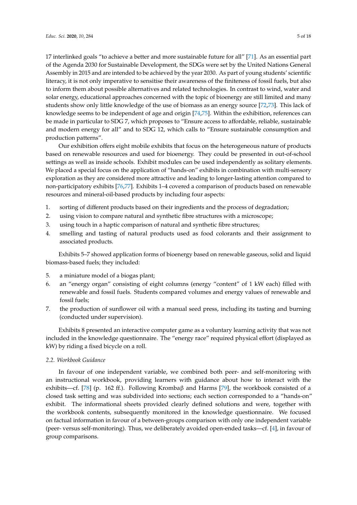17 interlinked goals "to achieve a better and more sustainable future for all" [\[71\]](#page-15-17). As an essential part of the Agenda 2030 for Sustainable Development, the SDGs were set by the United Nations General Assembly in 2015 and are intended to be achieved by the year 2030. As part of young students' scientific literacy, it is not only imperative to sensitise their awareness of the finiteness of fossil fuels, but also to inform them about possible alternatives and related technologies. In contrast to wind, water and solar energy, educational approaches concerned with the topic of bioenergy are still limited and many students show only little knowledge of the use of biomass as an energy source [\[72,](#page-15-18)[73\]](#page-15-19). This lack of knowledge seems to be independent of age and origin [\[74,](#page-15-20)[75\]](#page-16-0). Within the exhibition, references can be made in particular to SDG 7, which proposes to "Ensure access to affordable, reliable, sustainable and modern energy for all" and to SDG 12, which calls to "Ensure sustainable consumption and production patterns".

Our exhibition offers eight mobile exhibits that focus on the heterogeneous nature of products based on renewable resources and used for bioenergy. They could be presented in out-of-school settings as well as inside schools. Exhibit modules can be used independently as solitary elements. We placed a special focus on the application of "hands-on" exhibits in combination with multi-sensory exploration as they are considered more attractive and leading to longer-lasting attention compared to non-participatory exhibits [\[76,](#page-16-1)[77\]](#page-16-2). Exhibits 1–4 covered a comparison of products based on renewable resources and mineral-oil-based products by including four aspects:

- 1. sorting of different products based on their ingredients and the process of degradation;
- 2. using vision to compare natural and synthetic fibre structures with a microscope;
- 3. using touch in a haptic comparison of natural and synthetic fibre structures;
- 4. smelling and tasting of natural products used as food colorants and their assignment to associated products.

Exhibits 5–7 showed application forms of bioenergy based on renewable gaseous, solid and liquid biomass-based fuels; they included:

- 5. a miniature model of a biogas plant;
- 6. an "energy organ" consisting of eight columns (energy "content" of 1 kW each) filled with renewable and fossil fuels. Students compared volumes and energy values of renewable and fossil fuels;
- 7. the production of sunflower oil with a manual seed press, including its tasting and burning (conducted under supervision).

Exhibits 8 presented an interactive computer game as a voluntary learning activity that was not included in the knowledge questionnaire. The "energy race" required physical effort (displayed as kW) by riding a fixed bicycle on a roll.

# *2.2. Workbook Guidance*

In favour of one independent variable, we combined both peer- and self-monitoring with an instructional workbook, providing learners with guidance about how to interact with the exhibits—cf. [\[78\]](#page-16-3) (p. 162 ff.). Following Kromba $\beta$  and Harms [\[79\]](#page-16-4), the workbook consisted of a closed task setting and was subdivided into sections; each section corresponded to a "hands-on" exhibit. The informational sheets provided clearly defined solutions and were, together with the workbook contents, subsequently monitored in the knowledge questionnaire. We focused on factual information in favour of a between-groups comparison with only one independent variable (peer- versus self-monitoring). Thus, we deliberately avoided open-ended tasks—cf. [\[4\]](#page-13-2), in favour of group comparisons.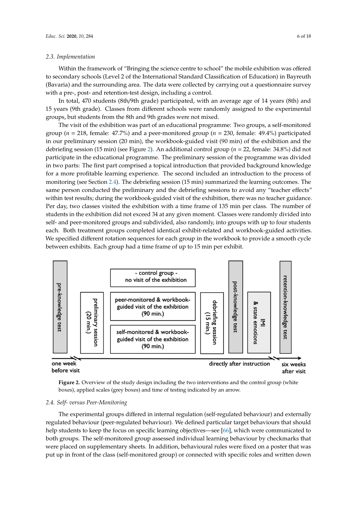# *2.3. Implementation*

Within the framework of "Bringing the science centre to school" the mobile exhibition was offered to secondary schools (Level 2 of the International Standard Classification of Education) in Bayreuth (Bavaria) and the surrounding area. The data were collected by carrying out a questionnaire survey with a pre-, post- and retention-test design, including a control.

In total, 470 students (8th/9th grade) participated, with an average age of 14 years (8th) and 15 years (9th grade). Classes from different schools were randomly assigned to the experimental groups, but students from the 8th and 9th grades were not mixed. but students from the 8th and 9th grades were not mixed.

The visit of the exhibition was part of an educational programme: Two groups, a self-monitored The visit of the exhibition was part of an educational programme: Two groups, a self-monitored group ( $n = 218$ , female:  $47.7\%)$  and a peer-monitored group ( $n = 230$ , female:  $49.4\%)$  participated in our preliminary session (20 min), the workbook-guided visit (90 min) of the exhibition and the debriefing session (15 min) (see Figure 2). An additional control group (*n* = 22, female: 34.8%) did not debriefing session (15 min) (see Figur[e 2](#page-5-0)). An additional control group (*n* = 22, female: 34.8%) did not participate in the educational programme. The preliminary session of the programme was divided participate in the educational programme. The preliminary session of the programme was divided in two parts: The first part comprised a topical introduction that provided background knowledge in two parts: The first part comprised a topical introduction that provided background knowledge for a more profitable learning experience. The second included an introduction to the process of monitoring (see Section 2.4). The debriefing session (15 min) summarized the learning outcomes. The monitoring (see sectio[n 2.4](#page-5-1)). The debriefing session (15 min) summarized the learning outcomes. The same person conducted the preliminary and the debriefing sessions to avoid any "teacher effects"<br>within test results; during the workbook-guided visit of the exhibition, there was no teacher guidance. within test results; during the workbook-guided visit of the exhibition, there was no teacher guidance. Per day, two classes visited the exhibition with a time frame of 135 min per class. The number of students in the exhibition did not exceed 34 at any given moment. Classes were randomly divided into self- and peer-monitored groups and subdivided, also randomly, into groups with up to four students each. Both treatment groups completed identical exhibit-related and workbook-guided activities. We specified different rotation sequences for each group in the workbook to provide a smooth cycle between exhibits. Each group had a time frame of up to 15 min per exhibit.

<span id="page-5-0"></span>

**Figure 2.** Overview of the study design including the two interventions and the control group (white **Figure 2.** Overview of the study design including the two interventions and the control group (white boxes), applied scales (grey boxes) and time of testing indicated by an arrow. boxes), applied scales (grey boxes) and time of testing indicated by an arrow.

# <span id="page-5-1"></span>*2.4. Self- Versus Peer-Monitoring 2.4. Self- versus Peer-Monitoring*

The experimental groups differed in internal regulation (self-regulated behaviour) and The experimental groups differed in internal regulation (self-regulated behaviour) and externally regulated behaviour (peer-regulated behaviour). We defined particular target behaviours that should<br>. help students to keep the focus on specific learning objectives—see [\[66\]](#page-15-12), which were communicated to help students to keep the focus on specific learning objectives—see [66], which were communicated to both groups. The self-monitored group assessed individual learning behaviour by checkmarks that were placed on supplementary sheets. In addition, behavioural rules were fixed on a poster that was put up in front of the class (self-monitored group) or connected with specific roles and written down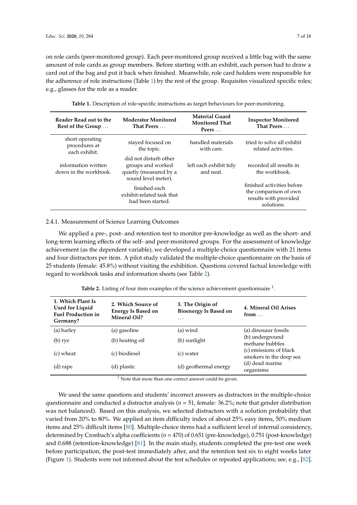on role cards (peer-monitored group). Each peer-monitored group received a little bag with the same amount of role cards as group members. Before starting with an exhibit, each person had to draw a card out of the bag and put it back when finished. Meanwhile, role card holders were responsible for the adherence of role instructions (Table [1\)](#page-6-0) by the rest of the group. Requisites visualized specific roles; e.g., glasses for the role as a reader.

<span id="page-6-0"></span>

| Reader Read out to the<br>Rest of the Group       | <b>Moderator Monitored</b><br>That Peers                                                    | <b>Material Guard</b><br><b>Monitored That</b><br>Peers $\dots$ | <b>Inspector Monitored</b><br>That Peers                                                   |
|---------------------------------------------------|---------------------------------------------------------------------------------------------|-----------------------------------------------------------------|--------------------------------------------------------------------------------------------|
| short operating<br>procedures at<br>each exhibit. | stayed focused on<br>the topic.                                                             | handled materials<br>with care.                                 | tried to solve all exhibit<br>related activities.                                          |
| information written<br>down in the workbook.      | did not disturb other<br>groups and worked<br>quietly (measured by a<br>sound level meter). | left each exhibit tidy<br>and neat.                             | recorded all results in<br>the workbook.                                                   |
|                                                   | finished each<br>exhibit-related task that<br>had been started.                             |                                                                 | finished activities before<br>the comparison of own<br>results with provided<br>solutions. |

**Table 1.** Description of role-specific instructions as target behaviours for peer-monitoring.

### 2.4.1. Measurement of Science Learning Outcomes

We applied a pre-, post- and retention test to monitor pre-knowledge as well as the short- and long-term learning effects of the self- and peer-monitored groups. For the assessment of knowledge achievement (as the dependent variable), we developed a multiple-choice questionnaire with 21 items and four distractors per item. A pilot study validated the multiple-choice questionnaire on the basis of 25 students (female: 45.8%) without visiting the exhibition. Questions covered factual knowledge with regard to workbook tasks and information sheets (see Table [2\)](#page-6-1).

<span id="page-6-1"></span>

| 1. Which Plant Is<br><b>Used for Liquid</b><br><b>Fuel Production in</b><br>Germany? | 2. Which Source of<br><b>Energy Is Based on</b><br>Mineral Oil? | 3. The Origin of<br><b>Bioenergy Is Based on</b><br>. | 4. Mineral Oil Arises<br>from $\dots$             |
|--------------------------------------------------------------------------------------|-----------------------------------------------------------------|-------------------------------------------------------|---------------------------------------------------|
| (a) barley                                                                           | (a) gasoline                                                    | (a) wind                                              | (a) dinosaur fossils                              |
| (b) rye                                                                              | (b) heating oil                                                 | (b) sunlight                                          | (b) underground<br>methane bubbles                |
| (c) wheat                                                                            | (c) biodiesel                                                   | (c) water                                             | (c) emissions of black<br>smokers in the deep sea |
| (d) rape                                                                             | (d) plastic                                                     | (d) geothermal energy                                 | (d) dead marine<br>organisms                      |

Table 2. Listing of four item examples of the science achievement questionnaire <sup>1</sup>.

 $1$  Note that more than one correct answer could be given.

We used the same questions and students' incorrect answers as distractors in the multiple-choice questionnaire and conducted a distractor analysis (*n* = 51, female: 36.2%; note that gender distribution was not balanced). Based on this analysis, we selected distractors with a solution probability that varied from 20% to 80%. We applied an item difficulty index of about 25% easy items, 50% medium items and 25% difficult items [\[80\]](#page-16-5). Multiple-choice items had a sufficient level of internal consistency, determined by Cronbach's alpha coefficients (*n* = 470) of 0.651 (pre-knowledge), 0.751 (post-knowledge) and 0.688 (retention-knowledge) [\[81\]](#page-16-6). In the main study, students completed the pre-test one week before participation, the post-test immediately after, and the retention test six to eight weeks later (Figure [1\)](#page-2-0). Students were not informed about the test schedules or repeated applications; see, e.g., [\[82\]](#page-16-7).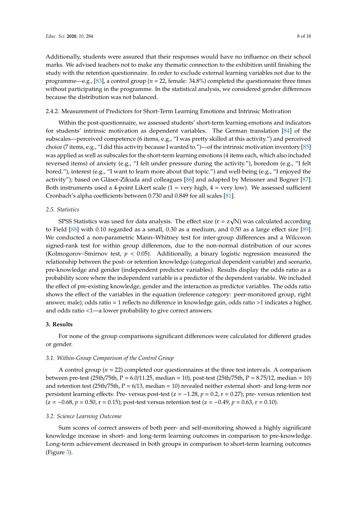Additionally, students were assured that their responses would have no influence on their school marks. We advised teachers not to make any thematic connection to the exhibition until finishing the study with the retention questionnaire. In order to exclude external learning variables not due to the programme—e.g., [\[83\]](#page-16-8), a control group (*n* = 22, female: 34.8%) completed the questionnaire three times without participating in the programme. In the statistical analysis, we considered gender differences because the distribution was not balanced.

# 2.4.2. Measurement of Predictors for Short-Term Learning Emotions and Intrinsic Motivation

Within the post-questionnaire, we assessed students' short-term learning emotions and indicators for students' intrinsic motivation as dependent variables. The German translation [\[84\]](#page-16-9) of the subscales—perceived competence (6 items, e.g., "I was pretty skilled at this activity.") and perceived choice (7 items, e.g., "I did this activity because I wanted to.")—of the intrinsic motivation inventory [\[85\]](#page-16-10) was applied as well as subscales for the short-term learning emotions (4 items each, which also included reversed items) of anxiety (e.g., "I felt under pressure during the activity."), boredom (e.g., "I felt bored."), interest (e.g., "I want to learn more about that topic.") and well-being (e.g., "I enjoyed the activity"); based on Gläser-Zikuda and colleagues [\[86\]](#page-16-11) and adapted by Meissner and Bogner [\[87\]](#page-16-12). Both instruments used a 4-point Likert scale  $(1 = \text{very high}, 4 = \text{very low})$ . We assessed sufficient Cronbach's alpha coefficients between 0.730 and 0.849 for all scales [\[81\]](#page-16-6).

# *2.5. Statistics*

SPSS Statistics was used for data analysis. The effect size (r = z $\gamma$ N) was calculated according to Field [\[88\]](#page-16-13) with 0.10 regarded as a small, 0.30 as a medium, and 0.50 as a large effect size [\[89\]](#page-16-14). We conducted a non-parametric Mann–Whitney test for inter-group differences and a Wilcoxon signed-rank test for within group differences, due to the non-normal distribution of our scores (Kolmogorov–Smirnov test,  $p < 0.05$ ). Additionally, a binary logistic regression measured the relationship between the post- or retention knowledge (categorical dependent variable) and scenario, pre-knowledge and gender (independent predictor variables). Results display the odds ratio as a probability score where the independent variable is a predictor of the dependent variable. We included the effect of pre-existing knowledge, gender and the interaction as predictor variables. The odds ratio shows the effect of the variables in the equation (reference category: peer-monitored group, right answer, male); odds ratio = 1 reflects no difference in knowledge gain, odds ratio >1 indicates a higher, and odds ratio <1—a lower probability to give correct answers.

# **3. Results**

For none of the group comparisons significant differences were calculated for different grades or gender.

# *3.1. Within-Group Comparison of the Control Group*

A control group (*n* = 22) completed our questionnaires at the three test intervals. A comparison between pre-test (25th/75th,  $P = 6.0/11.25$ , median = 10), post-test (25th/75th,  $P = 8.75/12$ , median = 10) and retention test (25th/75th,  $P = 6/13$ , median = 10) revealed neither external short- and long-term nor persistent learning effects: Pre- versus post-test (z = −1.28, *p* = 0.2, r = 0.27); pre- versus retention test (z = −0.68, *p* = 0.50, r = 0.15); post-test versus retention test (z = −0.49, *p* = 0.63, r = 0.10).

# *3.2. Science Learning Outcome*

Sum scores of correct answers of both peer- and self-monitoring showed a highly significant knowledge increase in short- and long-term learning outcomes in comparison to pre-knowledge. Long-term achievement decreased in both groups in comparison to short-term learning outcomes (Figure [3\)](#page-8-0).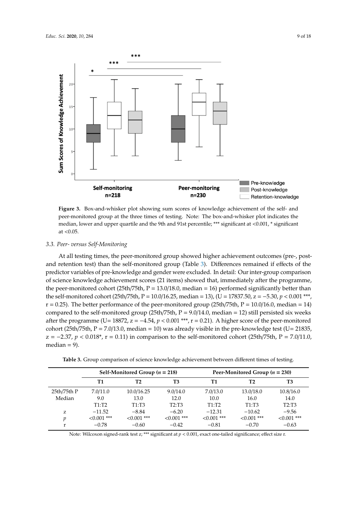<span id="page-8-0"></span>

Figure 3. Box-and-whisker plot showing sum scores of knowledge achievement of the self- and peer-monitored group at the three times of testing. Note: The box-and-whisker plot indicates the median, lower and upper quartile and the 9th and 91st percentile; \*\*\* significant at <0.001, \* significant at <0.05.

#### *3.3. Peer- Versus Self-Monitoring 3.3. Peer- versus Self-Monitoring*

At all testing times, the peer-monitored group showed higher achievement outcomes (pre-, post-At all testing times, the peer-monitored group showed higher achievement outcomes (pre-, post-and retention test) than the self-monitored group (Table [3\)](#page-8-1). Differences remained if effects of the predictor variables of pre-knowledge and gender were excluded. In detail: Our inter-group comparison of science knowledge achievement scores (21 items) showed that, immediately after the programme, the peer-monitored cohort (25th/75th, P = 13.0/18.0, median = 16) performed significantly better than the self-monitored cohort (25th/75th, P = 10.0/16.25, median = 13), (U = 17837.50, z = -5.30,  $p < 0.001$ \*\*\*,  $r = 0.25$ ). The better performance of the peer-monitored group (25th/75th, P = 10.0/16.0, median = 14) compared to the self-monitored group (25th/75th,  $P = 9.0/14.0$ , median = 12) still persisted six weeks after the programme (U= 18872,  $z = -4.54$ ,  $p < 0.001$  \*\*\*,  $r = 0.21$ ). A higher score of the peer-monitored cohort (25th/75th, P = 7.0/13.0, median = 10) was already visible in the pre-knowledge test (U= 21835,  $z = −2.37$ ,  $p < 0.018$ <sup>\*</sup>,  $r = 0.11$ ) in comparison to the self-monitored cohort (25th/75th, P = 7.0/11.0, median  $= 9$ ).

|  |  |  | Table 3. Group comparison of science knowledge achievement between different times of testing. |  |
|--|--|--|------------------------------------------------------------------------------------------------|--|

<span id="page-8-1"></span>

|               | Self-Monitored Group ( $n = 218$ ) |               |                | Peer-Monitored Group ( $n = 230$ ) |              |              |  |
|---------------|------------------------------------|---------------|----------------|------------------------------------|--------------|--------------|--|
|               | T1                                 | T2            | T <sub>3</sub> | Т1                                 | Т2           | T3           |  |
| $25th/75th$ P | 7.0/11.0                           | 10.0/16.25    | 9.0/14.0       | 7.0/13.0                           | 13.0/18.0    | 10.8/16.0    |  |
| Median        | 9.0                                | 13.0          | 12.0           | 10.0                               | 16.0         | 14.0         |  |
|               | T1:T2                              | T1: T3        | T2: T3         | T1: T2                             | T1: T3       | T2: T3       |  |
| Z.            | $-11.52$                           | $-8.84$       | $-6.20$        | $-12.31$                           | $-10.62$     | $-9.56$      |  |
| v             | $<0.001$ ***                       | $< 0.001$ *** | $<0.001$ ***   | $<0.001$ ***                       | $<0.001$ *** | $<0.001$ *** |  |
| r             | $-0.78$                            | $-0.60$       | $-0.42$        | $-0.81$                            | $-0.70$      | $-0.63$      |  |

Note: Wilcoxon signed-rank test z; \*\*\* significant at  $p < 0.001$ , exact one-tailed significance; effect size r.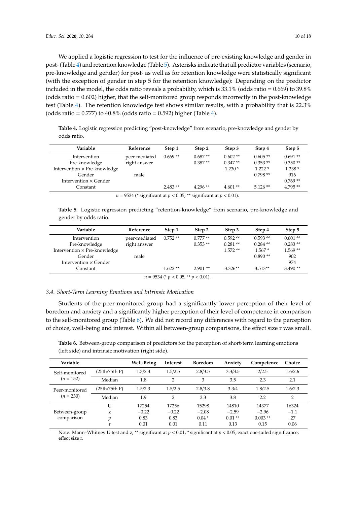We applied a logistic regression to test for the influence of pre-existing knowledge and gender in post- (Table [4\)](#page-9-0) and retention knowledge (Table [5\)](#page-9-1). Asterisks indicate that all predictor variables (scenario, pre-knowledge and gender) for post- as well as for retention knowledge were statistically significant (with the exception of gender in step 5 for the retention knowledge): Depending on the predictor included in the model, the odds ratio reveals a probability, which is 33.1% (odds ratio = 0.669) to 39.8% (odds ratio = 0.602) higher, that the self-monitored group responds incorrectly in the post-knowledge test (Table [4\)](#page-9-0). The retention knowledge test shows similar results, with a probability that is 22.3% (odds ratio =  $0.777$ ) to  $40.8\%$  (odds ratio =  $0.592$ ) higher (Table [4\)](#page-9-0).

<span id="page-9-0"></span>**Table 4.** Logistic regression predicting "post-knowledge" from scenario, pre-knowledge and gender by odds ratio.

| Variable                            | Reference                                            | Step 1                                           | Step 2         | Step 3               | Step 4    | Step 5    |
|-------------------------------------|------------------------------------------------------|--------------------------------------------------|----------------|----------------------|-----------|-----------|
| Intervention                        | peer-mediated                                        | $0.669**$                                        | $0.687**$      | $0.602**$            | $0.605**$ | $0.691**$ |
| Pre-knowledge                       | right answer                                         |                                                  | $0.387**$      | $0.347**$            | $0.353**$ | $0.350**$ |
| Intervention $\times$ Pre-knowledge |                                                      |                                                  |                | $1.230*$             | $1.222*$  | $1.238*$  |
| Gender                              | male                                                 |                                                  |                |                      | $0.798**$ | 916       |
| Intervention $\times$ Gender        |                                                      |                                                  |                |                      |           | $0.769**$ |
| Constant                            |                                                      | $2.483**$                                        | $4.296**$      | $4.601**$            | $5.126**$ | $4.795**$ |
|                                     | $\cdot$ $\sim$<br>$\sim$ $\sim$ $\sim$ $\sim$ $\sim$ | $\sim$ $\sim$ $\sim$ $\sim$ $\sim$ $\sim$ $\sim$ | $\cdot$ $\sim$ | $\sim$ $\sim$ $\sim$ |           |           |

*n* = 9534 (\* significant at *p* < 0.05, \*\* significant at *p* < 0.01).

<span id="page-9-1"></span>**Table 5.** Logistic regression predicting "retention-knowledge" from scenario, pre-knowledge and gender by odds ratio.

| Variable                                 | Reference     | Step 1    | Step 2    | Step 3    | Step 4    | Step 5    |  |
|------------------------------------------|---------------|-----------|-----------|-----------|-----------|-----------|--|
| Intervention                             | peer-mediated | $0.752**$ | $0.777**$ | $0.592**$ | $0.593**$ | $0.601**$ |  |
| Pre-knowledge                            | right answer  |           | $0.353**$ | $0.281**$ | $0.284**$ | $0.283**$ |  |
| Intervention $\times$ Pre-knowledge      |               |           |           | $1.572**$ | $1.567*$  | $1.569**$ |  |
| Gender                                   | male          |           |           |           | $0.890**$ | 902       |  |
| Intervention $\times$ Gender             |               |           |           |           |           | 974       |  |
| Constant                                 |               | $1.622**$ | $2.901**$ | $3.326**$ | $3.513**$ | $3.490**$ |  |
| $n = 9534$ (* $n < 0.05$ ** $n < 0.01$ ) |               |           |           |           |           |           |  |

*n* = 9534 (\* *p* < 0.05, \*\* *p* < 0.01).

## *3.4. Short-Term Learning Emotions and Intrinsic Motivation*

Students of the peer-monitored group had a significantly lower perception of their level of boredom and anxiety and a significantly higher perception of their level of competence in comparison to the self-monitored group (Table [6\)](#page-9-2). We did not record any differences with regard to the perception of choice, well-being and interest. Within all between-group comparisons, the effect size r was small.

<span id="page-9-2"></span>**Table 6.** Between-group comparison of predictors for the perception of short-term learning emotions (left side) and intrinsic motivation (right side).

| Variable                    |               | Well-Being | Interest | <b>Boredom</b> | Anxiety  | Competence | Choice  |
|-----------------------------|---------------|------------|----------|----------------|----------|------------|---------|
| Self-monitored              | (25th/75th P) | 1.3/2.3    | 1.5/2.5  | 2.8/3.5        | 3.3/3.5  | 2/2.5      | 1.6/2.6 |
| $(n = 152)$                 | Median        | 1.8        | 2        | 3              | 3.5      | 2.3        | 2.1     |
| Peer-monitored              | (25th/75th P) | 1.5/2.3    | 1.5/2.5  | 2.8/3.8        | 3.3/4    | 1.8/2.5    | 1.6/2.3 |
| $(n = 230)$                 | Median        | 1.9        | 2        | 3.3            | 3.8      | 2.2        | 2       |
|                             | U             | 17254      | 17256    | 15298          | 14810    | 14377      | 16324   |
| Between-group<br>comparison | Z.            | $-0.22$    | $-0.22$  | $-2.08$        | $-2.59$  | $-2.96$    | $-1.1$  |
|                             | n             | 0.83       | 0.83     | $0.04*$        | $0.01**$ | $0.003$ ** | .27     |
|                             | $\mathbf{r}$  | 0.01       | 0.01     | 0.11           | 0.13     | 0.15       | 0.06    |

Note: Mann–Whitney U test and z; \*\* significant at  $p < 0.01$ , \* significant at  $p < 0.05$ , exact one-tailed significance; effect size r.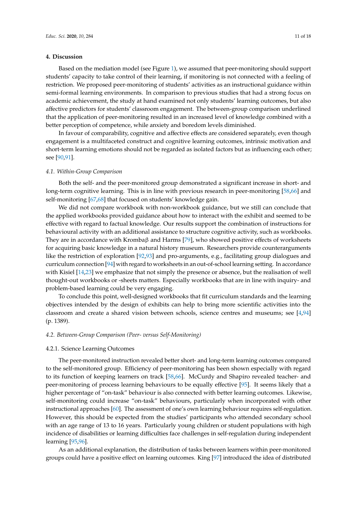# **4. Discussion**

Based on the mediation model (see Figure [1\)](#page-2-0), we assumed that peer-monitoring should support students' capacity to take control of their learning, if monitoring is not connected with a feeling of restriction. We proposed peer-monitoring of students' activities as an instructional guidance within semi-formal learning environments. In comparison to previous studies that had a strong focus on academic achievement, the study at hand examined not only students' learning outcomes, but also affective predictors for students' classroom engagement. The between-group comparison underlined that the application of peer-monitoring resulted in an increased level of knowledge combined with a better perception of competence, while anxiety and boredom levels diminished.

In favour of comparability, cognitive and affective effects are considered separately, even though engagement is a multifaceted construct and cognitive learning outcomes, intrinsic motivation and short-term learning emotions should not be regarded as isolated factors but as influencing each other; see [\[90,](#page-16-15)[91\]](#page-16-16).

# *4.1. Within-Group Comparison*

Both the self- and the peer-monitored group demonstrated a significant increase in short- and long-term cognitive learning. This is in line with previous research in peer-monitoring [\[58](#page-15-6)[,66\]](#page-15-12) and self-monitoring [\[67,](#page-15-13)[68\]](#page-15-14) that focused on students' knowledge gain.

We did not compare workbook with non-workbook guidance, but we still can conclude that the applied workbooks provided guidance about how to interact with the exhibit and seemed to be effective with regard to factual knowledge. Our results support the combination of instructions for behavioural activity with an additional assistance to structure cognitive activity, such as workbooks. They are in accordance with Krombaβ and Harms [\[79\]](#page-16-4), who showed positive effects of worksheets for acquiring basic knowledge in a natural history museum. Researchers provide counterarguments like the restriction of exploration [\[92,](#page-16-17)[93\]](#page-16-18) and pro-arguments, e.g., facilitating group dialogues and curriculum connection [\[94\]](#page-16-19) with regard to worksheets in an out-of-school learning setting. In accordance with Kisiel [\[14](#page-13-21)[,23\]](#page-14-0) we emphasize that not simply the presence or absence, but the realisation of well thought-out workbooks or -sheets matters. Especially workbooks that are in line with inquiry- and problem-based learning could be very engaging.

To conclude this point, well-designed workbooks that fit curriculum standards and the learning objectives intended by the design of exhibits can help to bring more scientific activities into the classroom and create a shared vision between schools, science centres and museums; see [\[4](#page-13-2)[,94\]](#page-16-19) (p. 1389).

# *4.2. Between-Group Comparison (Peer- versus Self-Monitoring)*

### 4.2.1. Science Learning Outcomes

The peer-monitored instruction revealed better short- and long-term learning outcomes compared to the self-monitored group. Efficiency of peer-monitoring has been shown especially with regard to its function of keeping learners on track [\[58](#page-15-6)[,66\]](#page-15-12). McCurdy and Shapiro revealed teacher- and peer-monitoring of process learning behaviours to be equally effective [\[95\]](#page-16-20). It seems likely that a higher percentage of "on-task" behaviour is also connected with better learning outcomes. Likewise, self-monitoring could increase "on-task" behaviours, particularly when incorporated with other instructional approaches [\[60\]](#page-15-8). The assessment of one's own learning behaviour requires self-regulation. However, this should be expected from the studies' participants who attended secondary school with an age range of 13 to 16 years. Particularly young children or student populations with high incidence of disabilities or learning difficulties face challenges in self-regulation during independent learning [\[95](#page-16-20)[,96\]](#page-16-21).

As an additional explanation, the distribution of tasks between learners within peer-monitored groups could have a positive effect on learning outcomes. King [\[97\]](#page-16-22) introduced the idea of distributed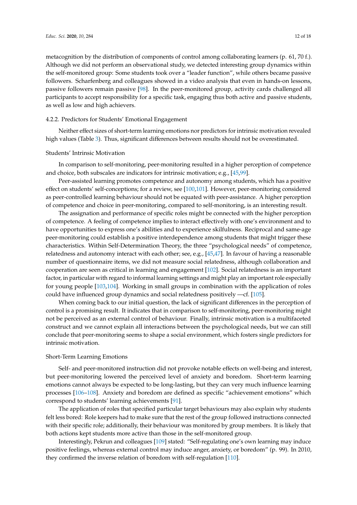metacognition by the distribution of components of control among collaborating learners (p. 61, 70 f.). Although we did not perform an observational study, we detected interesting group dynamics within the self-monitored group: Some students took over a "leader function", while others became passive followers. Scharfenberg and colleagues showed in a video analysis that even in hands-on lessons, passive followers remain passive [\[98\]](#page-16-23). In the peer-monitored group, activity cards challenged all participants to accept responsibility for a specific task, engaging thus both active and passive students, as well as low and high achievers.

## 4.2.2. Predictors for Students' Emotional Engagement

Neither effect sizes of short-term learning emotions nor predictors for intrinsic motivation revealed high values (Table [3\)](#page-8-1). Thus, significant differences between results should not be overestimated.

# Students' Intrinsic Motivation

In comparison to self-monitoring, peer-monitoring resulted in a higher perception of competence and choice, both subscales are indicators for intrinsic motivation; e.g., [\[45,](#page-14-17)[99\]](#page-16-24).

Peer-assisted learning promotes competence and autonomy among students, which has a positive effect on students' self-conceptions; for a review, see [\[100,](#page-16-25)[101\]](#page-17-0). However, peer-monitoring considered as peer-controlled learning behaviour should not be equated with peer-assistance. A higher perception of competence and choice in peer-monitoring, compared to self-monitoring, is an interesting result.

The assignation and performance of specific roles might be connected with the higher perception of competence. A feeling of competence implies to interact effectively with one's environment and to have opportunities to express one's abilities and to experience skilfulness. Reciprocal and same-age peer-monitoring could establish a positive interdependence among students that might trigger these characteristics. Within Self-Determination Theory, the three "psychological needs" of competence, relatedness and autonomy interact with each other; see, e.g., [\[45](#page-14-17)[,47\]](#page-14-18). In favour of having a reasonable number of questionnaire items, we did not measure social relatedness, although collaboration and cooperation are seen as critical in learning and engagement [\[102\]](#page-17-1). Social relatedness is an important factor, in particular with regard to informal learning settings and might play an important role especially for young people [\[103,](#page-17-2)[104\]](#page-17-3). Working in small groups in combination with the application of roles could have influenced group dynamics and social relatedness positively —cf. [\[105\]](#page-17-4).

When coming back to our initial question, the lack of significant differences in the perception of control is a promising result. It indicates that in comparison to self-monitoring, peer-monitoring might not be perceived as an external control of behaviour. Finally, intrinsic motivation is a multifaceted construct and we cannot explain all interactions between the psychological needs, but we can still conclude that peer-monitoring seems to shape a social environment, which fosters single predictors for intrinsic motivation.

# Short-Term Learning Emotions

Self- and peer-monitored instruction did not provoke notable effects on well-being and interest, but peer-monitoring lowered the perceived level of anxiety and boredom. Short-term learning emotions cannot always be expected to be long-lasting, but they can very much influence learning processes [\[106](#page-17-5)[–108\]](#page-17-6). Anxiety and boredom are defined as specific "achievement emotions" which correspond to students' learning achievements [\[91\]](#page-16-16).

The application of roles that specified particular target behaviours may also explain why students felt less bored: Role keepers had to make sure that the rest of the group followed instructions connected with their specific role; additionally, their behaviour was monitored by group members. It is likely that both actions kept students more active than those in the self-monitored group.

Interestingly, Pekrun and colleagues [\[109\]](#page-17-7) stated: "Self-regulating one's own learning may induce positive feelings, whereas external control may induce anger, anxiety, or boredom" (p. 99). In 2010, they confirmed the inverse relation of boredom with self-regulation [\[110\]](#page-17-8).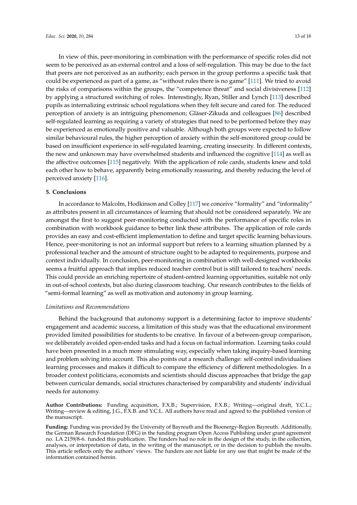In view of this, peer-monitoring in combination with the performance of specific roles did not seem to be perceived as an external control and a loss of self-regulation. This may be due to the fact that peers are not perceived as an authority; each person in the group performs a specific task that could be experienced as part of a game, as "without rules there is no game" [\[111\]](#page-17-9). We tried to avoid the risks of comparisons within the groups, the "competence threat" and social divisiveness [\[112\]](#page-17-10) by applying a structured switching of roles. Interestingly, Ryan, Stiller and Lynch [\[113\]](#page-17-11) described pupils as internalizing extrinsic school regulations when they felt secure and cared for. The reduced perception of anxiety is an intriguing phenomenon; Gläser-Zikuda and colleagues [\[86\]](#page-16-11) described self-regulated learning as requiring a variety of strategies that need to be performed before they may be experienced as emotionally positive and valuable. Although both groups were expected to follow similar behavioural rules, the higher perception of anxiety within the self-monitored group could be based on insufficient experience in self-regulated learning, creating insecurity. In different contexts, the new and unknown may have overwhelmed students and influenced the cognitive [\[114\]](#page-17-12) as well as the affective outcomes [\[115\]](#page-17-13) negatively. With the application of role cards, students knew and told each other how to behave, apparently being emotionally reassuring, and thereby reducing the level of perceived anxiety [\[116\]](#page-17-14).

# **5. Conclusions**

In accordance to Malcolm, Hodkinson and Colley [\[117\]](#page-17-15) we conceive "formality" and "informality" as attributes present in all circumstances of learning that should not be considered separately. We are amongst the first to suggest peer-monitoring conducted with the performance of specific roles in combination with workbook guidance to better link these attributes. The application of role cards provides an easy and cost-efficient implementation to define and target specific learning behaviours. Hence, peer-monitoring is not an informal support but refers to a learning situation planned by a professional teacher and the amount of structure ought to be adapted to requirements, purpose and context individually. In conclusion, peer-monitoring in combination with well-designed workbooks seems a fruitful approach that implies reduced teacher control but is still tailored to teachers' needs. This could provide an enriching repertoire of student-centred learning opportunities, suitable not only in out-of-school contexts, but also during classroom teaching. Our research contributes to the fields of "semi-formal learning" as well as motivation and autonomy in group learning.

# *Limitations and Recommendations*

Behind the background that autonomy support is a determining factor to improve students' engagement and academic success, a limitation of this study was that the educational environment provided limited possibilities for students to be creative. In favour of a between-group comparison, we deliberately avoided open-ended tasks and had a focus on factual information. Learning tasks could have been presented in a much more stimulating way, especially when taking inquiry-based learning and problem solving into account. This also points out a research challenge: self-control individualises learning processes and makes it difficult to compare the efficiency of different methodologies. In a broader context politicians, economists and scientists should discuss approaches that bridge the gap between curricular demands, social structures characterised by comparability and students' individual needs for autonomy.

**Author Contributions:** Funding acquisition, F.X.B.; Supervision, F.X.B.; Writing—original draft, Y.C.L.; Writing—review & editing, J.G., F.X.B. and Y.C.L. All authors have read and agreed to the published version of the manuscript.

**Funding:** Funding was provided by the University of Bayreuth and the Bioenergy-Region Bayreuth. Additionally, the German Research Foundation (DFG) in the funding program Open Access Publishing under grant agreement no. LA 2159/8-6. funded this publication. The funders had no role in the design of the study, in the collection, analyses, or interpretation of data, in the writing of the manuscript, or in the decision to publish the results. This article reflects only the authors' views. The funders are not liable for any use that might be made of the information contained herein.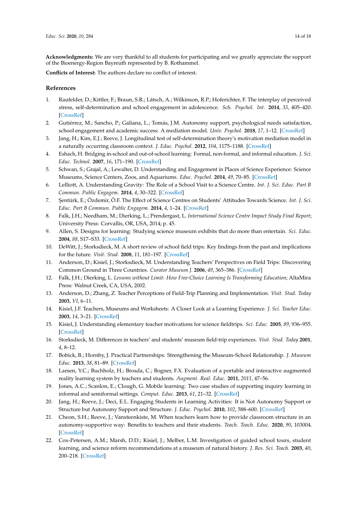**Acknowledgments:** We are very thankful to all students for participating and we greatly appreciate the support of the Bioenergy-Region Bayreuth represented by B. Rothammel.

**Conflicts of Interest:** The authors declare no conflict of interest.

# **References**

- <span id="page-13-0"></span>1. Raufelder, D.; Kittler, F.; Braun, S.R.; Lätsch, A.; Wilkinson, R.P.; Hoferichter, F. The interplay of perceived stress, self-determination and school engagement in adolescence. *Sch. Psychol. Int.* **2014**, *35*, 405–420. [\[CrossRef\]](http://dx.doi.org/10.1177/0143034313498953)
- <span id="page-13-20"></span>2. Gutiérrez, M.; Sancho, P.; Galiana, L.; Tomás, J.M. Autonomy support, psychological needs satisfaction, school engagement and academic success: A mediation model. *Univ. Psychol.* **2018**, *17*, 1–12. [\[CrossRef\]](http://dx.doi.org/10.11144/Javeriana.upsy17-5.aspn)
- <span id="page-13-1"></span>3. Jang, H.; Kim, E.J.; Reeve, J. Longitudinal test of self-determination theory's motivation mediation model in a naturally occurring classroom context. *J. Educ. Psychol.* **2012**, *104*, 1175–1188. [\[CrossRef\]](http://dx.doi.org/10.1037/a0028089)
- <span id="page-13-2"></span>4. Eshach, H. Bridging in-school and out-of-school learning: Formal, non-formal, and informal education. *J. Sci. Educ. Technol.* **2007**, *16*, 171–190. [\[CrossRef\]](http://dx.doi.org/10.1007/s10956-006-9027-1)
- <span id="page-13-3"></span>5. Schwan, S.; Grajal, A.; Lewalter, D. Understanding and Engagement in Places of Science Experience: Science Museums, Science Centers, Zoos, and Aquariums. *Educ. Psychol.* **2014**, *49*, 70–85. [\[CrossRef\]](http://dx.doi.org/10.1080/00461520.2014.917588)
- <span id="page-13-4"></span>6. Lelliott, A. Understanding Gravity: The Role of a School Visit to a Science Centre. *Int. J. Sci. Educ. Part B Commun. Public Engagem.* **2014**, *4*, 30–322. [\[CrossRef\]](http://dx.doi.org/10.1080/21548455.2013.818260)
- <span id="page-13-5"></span>7. ¸Sentürk, E.; Özdemir, Ö.F. The Effect of Science Centres on Students' Attitudes Towards Science. *Int. J. Sci. Educ. Part B Commun. Public Engagem.* **2014**, *4*, 1–24. [\[CrossRef\]](http://dx.doi.org/10.1080/21548455.2012.726754)
- <span id="page-13-6"></span>8. Falk, J.H.; Needham, M.; Dierking, L.; Prendergast, L. *International Science Centre Impact Study Final Report*; University Press: Corvallis, OR, USA, 2014; p. 45.
- <span id="page-13-7"></span>9. Allen, S. Designs for learning: Studying science museum exhibits that do more than entertain. *Sci. Educ.* **2004**, *88*, S17–S33. [\[CrossRef\]](http://dx.doi.org/10.1002/sce.20016)
- <span id="page-13-8"></span>10. DeWitt, J.; Storksdieck, M. A short review of school field trips: Key findings from the past and implications for the future. *Visit. Stud.* **2008**, *11*, 181–197. [\[CrossRef\]](http://dx.doi.org/10.1080/10645570802355562)
- <span id="page-13-9"></span>11. Anderson, D.; Kisiel, J.; Storksdieck, M. Understanding Teachers' Perspectives on Field Trips: Discovering Common Ground in Three Countries. *Curator Museum J.* **2006**, *49*, 365–386. [\[CrossRef\]](http://dx.doi.org/10.1111/j.2151-6952.2006.tb00229.x)
- <span id="page-13-10"></span>12. Falk, J.H.; Dierking, L. *Lessons without Limit: How Free-Choice Learning Is Transforming Education*; AltaMira Press: Walnut Creek, CA, USA, 2002.
- <span id="page-13-11"></span>13. Anderson, D.; Zhang, Z. Teacher Perceptions of Field-Trip Planning and Implementation. *Visit. Stud. Today* **2003**, *VI*, 6–11.
- <span id="page-13-21"></span>14. Kisiel, J.F. Teachers, Museums and Worksheets: A Closer Look at a Learning Experience. *J. Sci. Teacher Educ.* **2003**, *14*, 3–21. [\[CrossRef\]](http://dx.doi.org/10.1023/A:1022991222494)
- <span id="page-13-12"></span>15. Kisiel, J. Understanding elementary teacher motivations for science fieldtrips. *Sci. Educ.* **2005**, *89*, 936–955. [\[CrossRef\]](http://dx.doi.org/10.1002/sce.20085)
- <span id="page-13-13"></span>16. Storksdieck, M. Differences in teachers' and students' museum field-trip experiences. *Visit. Stud. Today* **2001**, *4*, 8–12.
- <span id="page-13-14"></span>17. Bobick, B.; Hornby, J. Practical Partnerships: Strengthening the Museum-School Relationship. *J. Museum Educ.* **2013**, *38*, 81–89. [\[CrossRef\]](http://dx.doi.org/10.1080/10598650.2013.11510758)
- <span id="page-13-15"></span>18. Larsen, Y.C.; Buchholz, H.; Brosda, C.; Bogner, F.X. Evaluation of a portable and interactive augmented reality learning system by teachers and students. *Augment. Real. Educ.* **2011**, *2011*, 47–56.
- <span id="page-13-16"></span>19. Jones, A.C.; Scanlon, E.; Clough, G. Mobile learning: Two case studies of supporting inquiry learning in informal and semiformal settings. *Comput. Educ.* **2013**, *61*, 21–32. [\[CrossRef\]](http://dx.doi.org/10.1016/j.compedu.2012.08.008)
- <span id="page-13-17"></span>20. Jang, H.; Reeve, J.; Deci, E.L. Engaging Students in Learning Activities: It is Not Autonomy Support or Structure but Autonomy Support and Structure. *J. Educ. Psychol.* **2010**, *102*, 588–600. [\[CrossRef\]](http://dx.doi.org/10.1037/a0019682)
- <span id="page-13-18"></span>21. Cheon, S.H.; Reeve, J.; Vansteenkiste, M. When teachers learn how to provide classroom structure in an autonomy-supportive way: Benefits to teachers and their students. *Teach. Teach. Educ.* **2020**, *90*, 103004. [\[CrossRef\]](http://dx.doi.org/10.1016/j.tate.2019.103004)
- <span id="page-13-19"></span>22. Cox-Petersen, A.M.; Marsh, D.D.; Kisiel, J.; Melber, L.M. Investigation of guided school tours, student learning, and science reform recommendations at a museum of natural history. *J. Res. Sci. Teach.* **2003**, *40*, 200–218. [\[CrossRef\]](http://dx.doi.org/10.1002/tea.10072)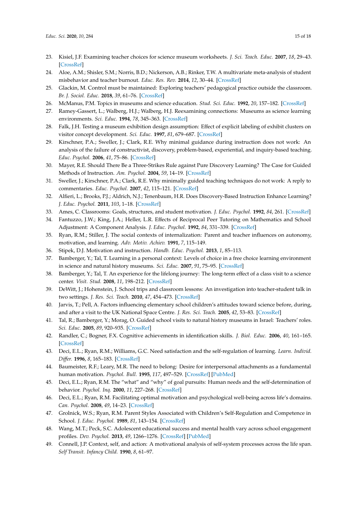- <span id="page-14-0"></span>23. Kisiel, J.F. Examining teacher choices for science museum worksheets. *J. Sci. Teach. Educ.* **2007**, *18*, 29–43. [\[CrossRef\]](http://dx.doi.org/10.1007/s10972-006-9023-6)
- <span id="page-14-1"></span>24. Aloe, A.M.; Shisler, S.M.; Norris, B.D.; Nickerson, A.B.; Rinker, T.W. A multivariate meta-analysis of student misbehavior and teacher burnout. *Educ. Res. Rev.* **2014**, *12*, 30–44. [\[CrossRef\]](http://dx.doi.org/10.1016/j.edurev.2014.05.003)
- <span id="page-14-2"></span>25. Glackin, M. Control must be maintained: Exploring teachers' pedagogical practice outside the classroom. *Br. J. Sociol. Educ.* **2018**, *39*, 61–76. [\[CrossRef\]](http://dx.doi.org/10.1080/01425692.2017.1304204)
- <span id="page-14-4"></span><span id="page-14-3"></span>26. McManus, P.M. Topics in museums and science education. *Stud. Sci. Educ.* **1992**, *20*, 157–182. [\[CrossRef\]](http://dx.doi.org/10.1080/03057269208560007)
- 27. Ramey-Gassert, L.; Walberg, H.J.; Walberg, H.J. Reexamining connections: Museums as science learning environments. *Sci. Educ.* **1994**, *78*, 345–363. [\[CrossRef\]](http://dx.doi.org/10.1002/sce.3730780403)
- <span id="page-14-5"></span>28. Falk, J.H. Testing a museum exhibition design assumption: Effect of explicit labeling of exhibit clusters on visitor concept development. *Sci. Educ.* **1997**, *81*, 679–687. [\[CrossRef\]](http://dx.doi.org/10.1002/(SICI)1098-237X(199711)81:6<679::AID-SCE5>3.0.CO;2-F)
- <span id="page-14-6"></span>29. Kirschner, P.A.; Sweller, J.; Clark, R.E. Why minimal guidance during instruction does not work: An analysis of the failure of constructivist, discovery, problem-based, experiential, and inquiry-based teaching. *Educ. Psychol.* **2006**, *41*, 75–86. [\[CrossRef\]](http://dx.doi.org/10.1207/s15326985ep4102_1)
- 30. Mayer, R.E. Should There Be a Three-Strikes Rule against Pure Discovery Learning? The Case for Guided Methods of Instruction. *Am. Psychol.* **2004**, *59*, 14–19. [\[CrossRef\]](http://dx.doi.org/10.1037/0003-066X.59.1.14)
- <span id="page-14-7"></span>31. Sweller, J.; Kirschner, P.A.; Clark, R.E. Why minimally guided teaching techniques do not work: A reply to commentaries. *Educ. Psychol.* **2007**, *42*, 115–121. [\[CrossRef\]](http://dx.doi.org/10.1080/00461520701263426)
- <span id="page-14-8"></span>32. Alfieri, L.; Brooks, P.J.; Aldrich, N.J.; Tenenbaum, H.R. Does Discovery-Based Instruction Enhance Learning? *J. Educ. Psychol.* **2011**, *103*, 1–18. [\[CrossRef\]](http://dx.doi.org/10.1037/a0021017)
- <span id="page-14-9"></span>33. Ames, C. Classrooms: Goals, structures, and student motivation. *J. Educ. Psychol.* **1992**, *84*, 261. [\[CrossRef\]](http://dx.doi.org/10.1037/0022-0663.84.3.261)
- 34. Fantuzzo, J.W.; King, J.A.; Heller, L.R. Effects of Reciprocal Peer Tutoring on Mathematics and School Adjustment: A Component Analysis. *J. Educ. Psychol.* **1992**, *84*, 331–339. [\[CrossRef\]](http://dx.doi.org/10.1037/0022-0663.84.3.331)
- 35. Ryan, R.M.; Stiller, J. The social contexts of internalization: Parent and teacher influences on autonomy, motivation, and learning. *Adv. Motiv. Achiev.* **1991**, *7*, 115–149.
- <span id="page-14-10"></span>36. Stipek, D.J. Motivation and instruction. *Handb. Educ. Psychol.* **2013**, *1*, 85–113.
- <span id="page-14-11"></span>37. Bamberger, Y.; Tal, T. Learning in a personal context: Levels of choice in a free choice learning environment in science and natural history museums. *Sci. Educ.* **2007**, *91*, 75–95. [\[CrossRef\]](http://dx.doi.org/10.1002/sce.20174)
- 38. Bamberger, Y.; Tal, T. An experience for the lifelong journey: The long-term effect of a class visit to a science center. *Visit. Stud.* **2008**, *11*, 198–212. [\[CrossRef\]](http://dx.doi.org/10.1080/10645570802355760)
- 39. DeWitt, J.; Hohenstein, J. School trips and classroom lessons: An investigation into teacher-student talk in two settings. *J. Res. Sci. Teach.* **2010**, *47*, 454–473. [\[CrossRef\]](http://dx.doi.org/10.1002/tea.20346)
- <span id="page-14-12"></span>40. Jarvis, T.; Pell, A. Factors influencing elementary school children's attitudes toward science before, during, and after a visit to the UK National Space Centre. *J. Res. Sci. Teach.* **2005**, *42*, 53–83. [\[CrossRef\]](http://dx.doi.org/10.1002/tea.20045)
- <span id="page-14-13"></span>41. Tal, R.; Bamberger, Y.; Morag, O. Guided school visits to natural history museums in Israel: Teachers' roles. *Sci. Educ.* **2005**, *89*, 920–935. [\[CrossRef\]](http://dx.doi.org/10.1002/sce.20070)
- <span id="page-14-14"></span>42. Randler, C.; Bogner, F.X. Cognitive achievements in identification skills. *J. Biol. Educ.* **2006**, *40*, 161–165. [\[CrossRef\]](http://dx.doi.org/10.1080/00219266.2006.9656038)
- <span id="page-14-15"></span>43. Deci, E.L.; Ryan, R.M.; Williams, G.C. Need satisfaction and the self-regulation of learning. *Learn. Individ. Di*ff*er.* **1996**, *8*, 165–183. [\[CrossRef\]](http://dx.doi.org/10.1016/S1041-6080(96)90013-8)
- <span id="page-14-16"></span>44. Baumeister, R.F.; Leary, M.R. The need to belong: Desire for interpersonal attachments as a fundamental human motivation. *Psychol. Bull.* **1995**, *117*, 497–529. [\[CrossRef\]](http://dx.doi.org/10.1037/0033-2909.117.3.497) [\[PubMed\]](http://www.ncbi.nlm.nih.gov/pubmed/7777651)
- <span id="page-14-17"></span>45. Deci, E.L.; Ryan, R.M. The "what" and "why" of goal pursuits: Human needs and the self-determination of behavior. *Psychol. Inq.* **2000**, *11*, 227–268. [\[CrossRef\]](http://dx.doi.org/10.1207/S15327965PLI1104_01)
- <span id="page-14-21"></span>46. Deci, E.L.; Ryan, R.M. Facilitating optimal motivation and psychological well-being across life's domains. *Can. Psychol.* **2008**, *49*, 14–23. [\[CrossRef\]](http://dx.doi.org/10.1037/0708-5591.49.1.14)
- <span id="page-14-18"></span>47. Grolnick, W.S.; Ryan, R.M. Parent Styles Associated with Children's Self-Regulation and Competence in School. *J. Educ. Psychol.* **1989**, *81*, 143–154. [\[CrossRef\]](http://dx.doi.org/10.1037/0022-0663.81.2.143)
- <span id="page-14-19"></span>48. Wang, M.T.; Peck, S.C. Adolescent educational success and mental health vary across school engagement profiles. *Dev. Psychol.* **2013**, *49*, 1266–1276. [\[CrossRef\]](http://dx.doi.org/10.1037/a0030028) [\[PubMed\]](http://www.ncbi.nlm.nih.gov/pubmed/23066673)
- <span id="page-14-20"></span>49. Connell, J.P. Context, self, and action: A motivational analysis of self-system processes across the life span. *Self Transit. Infancy Child.* **1990**, *8*, 61–97.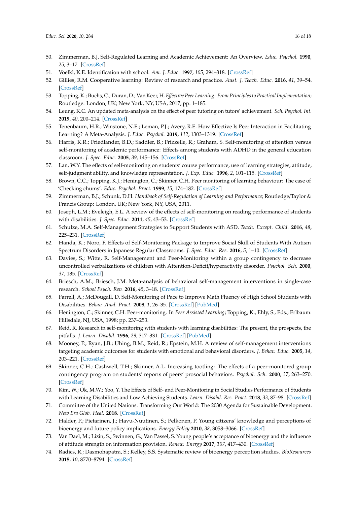- <span id="page-15-0"></span>50. Zimmerman, B.J. Self-Regulated Learning and Academic Achievement: An Overview. *Educ. Psychol.* **1990**, *25*, 3–17. [\[CrossRef\]](http://dx.doi.org/10.1207/s15326985ep2501_2)
- <span id="page-15-1"></span>51. Voelkl, K.E. Identification with school. *Am. J. Educ.* **1997**, *105*, 294–318. [\[CrossRef\]](http://dx.doi.org/10.1086/444158)
- <span id="page-15-2"></span>52. Gillies, R.M. Cooperative learning: Review of research and practice. *Aust. J. Teach. Educ.* **2016**, *41*, 39–54. [\[CrossRef\]](http://dx.doi.org/10.14221/ajte.2016v41n3.3)
- 53. Topping, K.; Buchs, C.; Duran, D.; Van Keer, H. *E*ff*ective Peer Learning: From Principles to Practical Implementation*; Routledge: London, UK; New York, NY, USA, 2017; pp. 1–185.
- 54. Leung, K.C. An updated meta-analysis on the effect of peer tutoring on tutors' achievement. *Sch. Psychol. Int.* **2019**, *40*, 200–214. [\[CrossRef\]](http://dx.doi.org/10.1177/0143034318808832)
- <span id="page-15-3"></span>55. Tenenbaum, H.R.; Winstone, N.E.; Leman, P.J.; Avery, R.E. How Effective Is Peer Interaction in Facilitating Learning? A Meta-Analysis. *J. Educ. Psychol.* **2019**, *112*, 1303–1319. [\[CrossRef\]](http://dx.doi.org/10.1037/edu0000436)
- <span id="page-15-4"></span>56. Harris, K.R.; Friedlander, B.D.; Saddler, B.; Frizzelle, R.; Graham, S. Self-monitoring of attention versus self-monitoring of academic performance: Effects among students with ADHD in the general education classroom. *J. Spec. Educ.* **2005**, *39*, 145–156. [\[CrossRef\]](http://dx.doi.org/10.1177/00224669050390030201)
- <span id="page-15-5"></span>57. Lan, W.Y. The effects of self-monitoring on students' course performance, use of learning strategies, attitude, self-judgment ability, and knowledge representation. *J. Exp. Educ.* **1996**, *2*, 101–115. [\[CrossRef\]](http://dx.doi.org/10.1080/00220973.1996.9943798)
- <span id="page-15-6"></span>58. Brown, C.C.; Topping, K.J.; Henington, C.; Skinner, C.H. Peer monitoring of learning behaviour: The case of 'Checking chums'. *Educ. Psychol. Pract.* **1999**, *15*, 174–182. [\[CrossRef\]](http://dx.doi.org/10.1080/0266736990150304)
- <span id="page-15-7"></span>59. Zimmerman, B.J.; Schunk, D.H. *Handbook of Self-Regulation of Learning and Performance*; Routledge/Taylor & Francis Group: London, UK; New York, NY, USA, 2011.
- <span id="page-15-8"></span>60. Joseph, L.M.; Eveleigh, E.L. A review of the effects of self-monitoring on reading performance of students with disabilities. *J. Spec. Educ.* **2011**, *45*, 43–53. [\[CrossRef\]](http://dx.doi.org/10.1177/0022466909349145)
- 61. Schulze, M.A. Self-Management Strategies to Support Students with ASD. *Teach. Except. Child.* **2016**, *48*, 225–231. [\[CrossRef\]](http://dx.doi.org/10.1177/0040059916640759)
- 62. Handa, K.; Noro, F. Effects of Self-Monitoring Package to Improve Social Skill of Students With Autism Spectrum Disorders in Japanese Regular Classrooms. *J. Spec. Educ. Res.* **2016**, *5*, 1–10. [\[CrossRef\]](http://dx.doi.org/10.6033/specialeducation.5.1)
- <span id="page-15-10"></span>63. Davies, S.; Witte, R. Self-Management and Peer-Monitoring within a group contingency to decrease uncontrolled verbalizations of children with Attention-Deficit/hyperactivity disorder. *Psychol. Sch.* **2000**, *37*, 135. [\[CrossRef\]](http://dx.doi.org/10.1002/(SICI)1520-6807(200003)37:2<135::AID-PITS5>3.0.CO;2-U)
- <span id="page-15-9"></span>64. Briesch, A.M.; Briesch, J.M. Meta-analysis of behavioral self-management interventions in single-case research. *School Psych. Rev.* **2016**, *45*, 3–18. [\[CrossRef\]](http://dx.doi.org/10.17105/SPR45-1.3-18)
- <span id="page-15-11"></span>65. Farrell, A.; McDougall, D. Self-Monitoring of Pace to Improve Math Fluency of High School Students with Disabilities. *Behav. Anal. Pract.* **2008**, *1*, 26–35. [\[CrossRef\]](http://dx.doi.org/10.1007/BF03391725) [\[PubMed\]](http://www.ncbi.nlm.nih.gov/pubmed/22477685)
- <span id="page-15-12"></span>66. Henington, C.; Skinner, C.H. Peer-monitoring. In *Peer Assisted Learning*; Topping, K., Ehly, S., Eds.; Erlbaum: Hillsdale, NJ, USA, 1998; pp. 237–253.
- <span id="page-15-13"></span>67. Reid, R. Research in self-monitoring with students with learning disabilities: The present, the prospects, the pitfalls. *J. Learn. Disabil.* **1996**, *29*, 317–331. [\[CrossRef\]](http://dx.doi.org/10.1177/002221949602900311) [\[PubMed\]](http://www.ncbi.nlm.nih.gov/pubmed/8732894)
- <span id="page-15-14"></span>68. Mooney, P.; Ryan, J.B.; Uhing, B.M.; Reid, R.; Epstein, M.H. A review of self-management interventions targeting academic outcomes for students with emotional and behavioral disorders. *J. Behav. Educ.* **2005**, *14*, 203–221. [\[CrossRef\]](http://dx.doi.org/10.1007/s10864-005-6298-1)
- <span id="page-15-15"></span>69. Skinner, C.H.; Cashwell, T.H.; Skinner, A.L. Increasing tootling: The effects of a peer-monitored group contingency program on students' reports of peers' prosocial behaviors. *Psychol. Sch.* **2000**, *37*, 263–270. [\[CrossRef\]](http://dx.doi.org/10.1002/(SICI)1520-6807(200005)37:3<263::AID-PITS6>3.0.CO;2-C)
- <span id="page-15-16"></span>70. Kim, W.; Ok, M.W.; Yoo, Y. The Effects of Self- and Peer-Monitoring in Social Studies Performance of Students with Learning Disabilities and Low Achieving Students. *Learn. Disabil. Res. Pract.* **2018**, *33*, 87–98. [\[CrossRef\]](http://dx.doi.org/10.1111/ldrp.12158)
- <span id="page-15-17"></span>71. Committee of the United Nations. Transforming Our World: The 2030 Agenda for Sustainable Development. *New Era Glob. Heal.* **2018**. [\[CrossRef\]](http://dx.doi.org/10.1891/9780826190123.ap02)
- <span id="page-15-18"></span>72. Halder, P.; Pietarinen, J.; Havu-Nuutinen, S.; Pelkonen, P. Young citizens' knowledge and perceptions of bioenergy and future policy implications. *Energy Policy* **2010**, *38*, 3058–3066. [\[CrossRef\]](http://dx.doi.org/10.1016/j.enpol.2010.01.046)
- <span id="page-15-19"></span>73. Van Dael, M.; Lizin, S.; Swinnen, G.; Van Passel, S. Young people's acceptance of bioenergy and the influence of attitude strength on information provision. *Renew. Energy* **2017**, *107*, 417–430. [\[CrossRef\]](http://dx.doi.org/10.1016/j.renene.2017.02.010)
- <span id="page-15-20"></span>74. Radics, R.; Dasmohapatra, S.; Kelley, S.S. Systematic review of bioenergy perception studies. *BioResources* **2015**, *10*, 8770–8794. [\[CrossRef\]](http://dx.doi.org/10.15376/biores.10.4.Radics)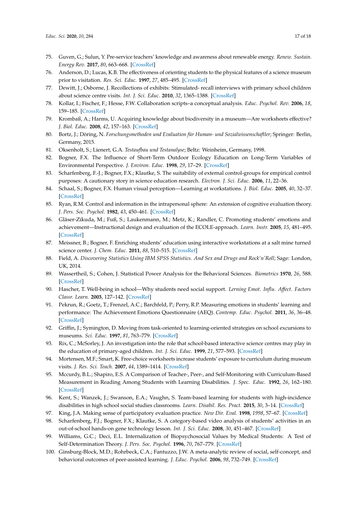- <span id="page-16-0"></span>75. Guven, G.; Sulun, Y. Pre-service teachers' knowledge and awareness about renewable energy. *Renew. Sustain. Energy Rev.* **2017**, *80*, 663–668. [\[CrossRef\]](http://dx.doi.org/10.1016/j.rser.2017.05.286)
- <span id="page-16-1"></span>76. Anderson, D.; Lucas, K.B. The effectiveness of orienting students to the physical features of a science museum prior to visitation. *Res. Sci. Educ.* **1997**, *27*, 485–495. [\[CrossRef\]](http://dx.doi.org/10.1007/BF02461476)
- <span id="page-16-2"></span>77. Dewitt, J.; Osborne, J. Recollections of exhibits: Stimulated- recall interviews with primary school children about science centre visits. *Int. J. Sci. Educ.* **2010**, *32*, 1365–1388. [\[CrossRef\]](http://dx.doi.org/10.1080/09500690903085664)
- <span id="page-16-3"></span>78. Kollar, I.; Fischer, F.; Hesse, F.W. Collaboration scripts–a conceptual analysis. *Educ. Psychol. Rev.* **2006**, *18*, 159–185. [\[CrossRef\]](http://dx.doi.org/10.1007/s10648-006-9007-2)
- <span id="page-16-4"></span>79. Krombaß, A.; Harms, U. Acquiring knowledge about biodiversity in a museum—Are worksheets effective? *J. Biol. Educ.* **2008**, *42*, 157–163. [\[CrossRef\]](http://dx.doi.org/10.1080/00219266.2008.9656134)
- <span id="page-16-5"></span>80. Bortz, J.; Döring, N. *Forschungsmethoden und Evaluation für Human- und Sozialwissenschaftler*; Springer: Berlin, Germany, 2015.
- <span id="page-16-6"></span>81. Oksenholt, S.; Lienert, G.A. *Testaufbau und Testanalyse*; Beltz: Weinheim, Germany, 1998.
- <span id="page-16-7"></span>82. Bogner, F.X. The Influence of Short-Term Outdoor Ecology Education on Long-Term Variables of Environmental Perspective. *J. Environ. Educ.* **1998**, *29*, 17–29. [\[CrossRef\]](http://dx.doi.org/10.1080/00958969809599124)
- <span id="page-16-8"></span>83. Scharfenberg, F.-J.; Bogner, F.X.; Klautke, S. The suitability of external control-groups for empirical control purposes: A cautionary story in science education research. *Electron. J. Sci. Educ.* **2006**, *11*, 22–36.
- <span id="page-16-9"></span>84. Schaal, S.; Bogner, F.X. Human visual perception—Learning at workstations. *J. Biol. Educ.* **2005**, *40*, 32–37. [\[CrossRef\]](http://dx.doi.org/10.1080/00219266.2005.9656006)
- <span id="page-16-10"></span>85. Ryan, R.M. Control and information in the intrapersonal sphere: An extension of cognitive evaluation theory. *J. Pers. Soc. Psychol.* **1982**, *43*, 450–461. [\[CrossRef\]](http://dx.doi.org/10.1037/0022-3514.43.3.450)
- <span id="page-16-11"></span>86. Gläser-Zikuda, M.; Fuß, S.; Laukenmann, M.; Metz, K.; Randler, C. Promoting students' emotions and achievement—Instructional design and evaluation of the ECOLE-approach. *Learn. Instr.* **2005**, *15*, 481–495. [\[CrossRef\]](http://dx.doi.org/10.1016/j.learninstruc.2005.07.013)
- <span id="page-16-12"></span>87. Meissner, B.; Bogner, F. Enriching students' education using interactive workstations at a salt mine turned science center. *J. Chem. Educ.* **2011**, *88*, 510–515. [\[CrossRef\]](http://dx.doi.org/10.1021/ed1006103)
- <span id="page-16-13"></span>88. Field, A. Discovering Statistics Using IBM SPSS Statistics. And Sex and Drugs and Rock'n'Roll; Sage: London, UK, 2014.
- <span id="page-16-14"></span>89. Wassertheil, S.; Cohen, J. Statistical Power Analysis for the Behavioral Sciences. *Biometrics* **1970**, *26*, 588. [\[CrossRef\]](http://dx.doi.org/10.2307/2529115)
- <span id="page-16-15"></span>90. Hascher, T. Well-being in school—Why students need social support. *Lerning Emot. Influ. A*ff*ect. Factors Classr. Learn.* **2003**, 127–142. [\[CrossRef\]](http://dx.doi.org/10.7892/boris.52844)
- <span id="page-16-16"></span>91. Pekrun, R.; Goetz, T.; Frenzel, A.C.; Barchfeld, P.; Perry, R.P. Measuring emotions in students' learning and performance: The Achievement Emotions Questionnaire (AEQ). *Contemp. Educ. Psychol.* **2011**, *36*, 36–48. [\[CrossRef\]](http://dx.doi.org/10.1016/j.cedpsych.2010.10.002)
- <span id="page-16-17"></span>92. Griffin, J.; Symington, D. Moving from task-oriented to learning-oriented strategies on school excursions to museums. *Sci. Educ.* **1997**, *81*, 763–779. [\[CrossRef\]](http://dx.doi.org/10.1002/(SICI)1098-237X(199711)81:6<763::AID-SCE11>3.0.CO;2-O)
- <span id="page-16-18"></span>93. Rix, C.; McSorley, J. An investigation into the role that school-based interactive science centres may play in the education of primary-aged children. *Int. J. Sci. Educ.* **1999**, *21*, 577–593. [\[CrossRef\]](http://dx.doi.org/10.1080/095006999290453)
- <span id="page-16-19"></span>94. Mortensen, M.F.; Smart, K. Free-choice worksheets increase students' exposure to curriculum during museum visits. *J. Res. Sci. Teach.* **2007**, *44*, 1389–1414. [\[CrossRef\]](http://dx.doi.org/10.1002/tea.20206)
- <span id="page-16-20"></span>95. Mccurdy, B.L.; Shapiro, E.S. A Comparison of Teacher-, Peer-, and Self-Monitoring with Curriculum-Based Measurement in Reading Among Students with Learning Disabilities. *J. Spec. Educ.* **1992**, *26*, 162–180. [\[CrossRef\]](http://dx.doi.org/10.1177/002246699202600203)
- <span id="page-16-21"></span>96. Kent, S.; Wanzek, J.; Swanson, E.A.; Vaughn, S. Team-based learning for students with high-incidence disabilities in high school social studies classrooms. *Learn. Disabil. Res. Pract.* **2015**, *30*, 3–14. [\[CrossRef\]](http://dx.doi.org/10.1111/ldrp.12048)
- <span id="page-16-22"></span>97. King, J.A. Making sense of participatory evaluation practice. *New Dir. Eval.* **1998**, *1998*, 57–67. [\[CrossRef\]](http://dx.doi.org/10.1002/ev.1117)
- <span id="page-16-23"></span>98. Scharfenberg, F.J.; Bogner, F.X.; Klautke, S. A category-based video analysis of students' activities in an out-of-school hands-on gene technology lesson. *Int. J. Sci. Educ.* **2008**, *30*, 451–467. [\[CrossRef\]](http://dx.doi.org/10.1080/09500690701213898)
- <span id="page-16-24"></span>99. Williams, G.C.; Deci, E.L. Internalization of Biopsychosocial Values by Medical Students: A Test of Self-Determination Theory. *J. Pers. Soc. Psychol.* **1996**, *70*, 767–779. [\[CrossRef\]](http://dx.doi.org/10.1037/0022-3514.70.4.767)
- <span id="page-16-25"></span>100. Ginsburg-Block, M.D.; Rohrbeck, C.A.; Fantuzzo, J.W. A meta-analytic review of social, self-concept, and behavioral outcomes of peer-assisted learning. *J. Educ. Psychol.* **2006**, *98*, 732–749. [\[CrossRef\]](http://dx.doi.org/10.1037/0022-0663.98.4.732)